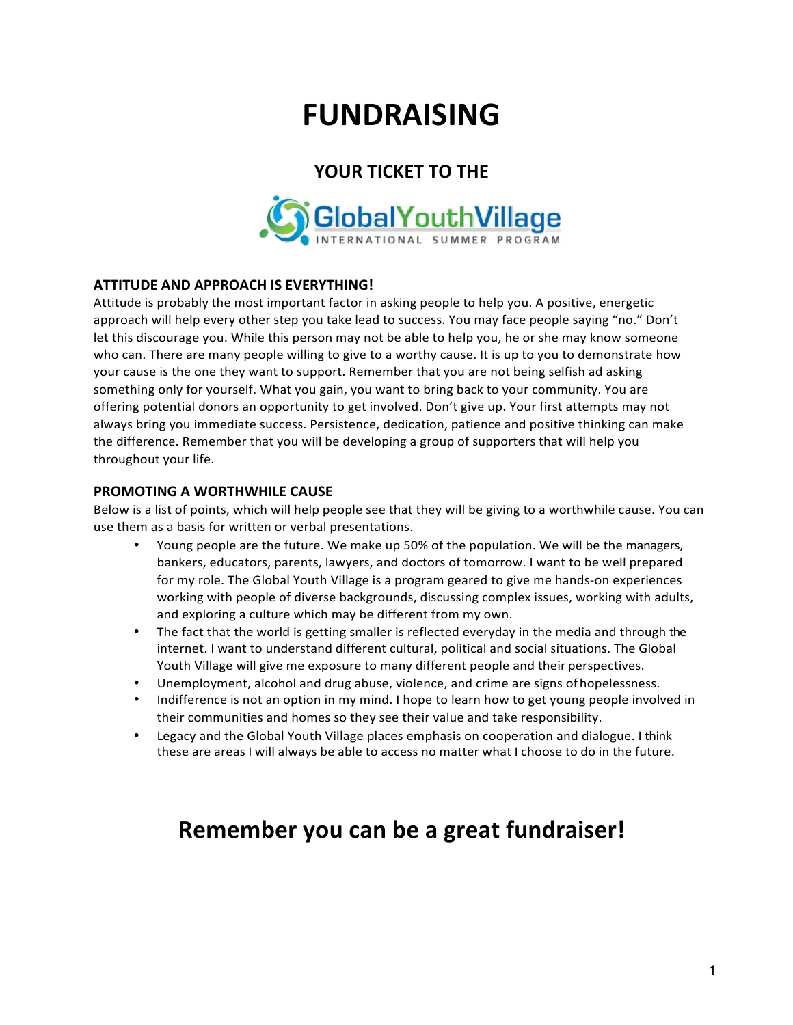# **FUNDRAISING**

# YOUR TICKET TO THE



### **ATTITUDE AND APPROACH IS EVERYTHING!**

Attitude is probably the most important factor in asking people to help you. A positive, energetic approach will help every other step you take lead to success. You may face people saying "no." Don't let this discourage you. While this person may not be able to help you, he or she may know someone who can. There are many people willing to give to a worthy cause. It is up to you to demonstrate how your cause is the one they want to support. Remember that you are not being selfish ad asking something only for yourself. What you gain, you want to bring back to your community. You are offering potential donors an opportunity to get involved. Don't give up. Your first attempts may not always bring you immediate success. Persistence, dedication, patience and positive thinking can make the difference. Remember that you will be developing a group of supporters that will help you throughout your life.

#### **PROMOTING A WORTHWHILE CAUSE**

Below is a list of points, which will help people see that they will be giving to a worthwhile cause. You can use them as a basis for written or verbal presentations.

- Young people are the future. We make up 50% of the population. We will be the managers, bankers, educators, parents, lawyers, and doctors of tomorrow. I want to be well prepared for my role. The Global Youth Village is a program geared to give me hands-on experiences working with people of diverse backgrounds, discussing complex issues, working with adults, and exploring a culture which may be different from my own.
- The fact that the world is getting smaller is reflected everyday in the media and through the internet. I want to understand different cultural, political and social situations. The Global Youth Village will give me exposure to many different people and their perspectives.
- Unemployment, alcohol and drug abuse, violence, and crime are signs of hopelessness.
- Indifference is not an option in my mind. I hope to learn how to get young people involved in their communities and homes so they see their value and take responsibility.
- Legacy and the Global Youth Village places emphasis on cooperation and dialogue. I think these are areas I will always be able to access no matter what I choose to do in the future.

# Remember you can be a great fundraiser!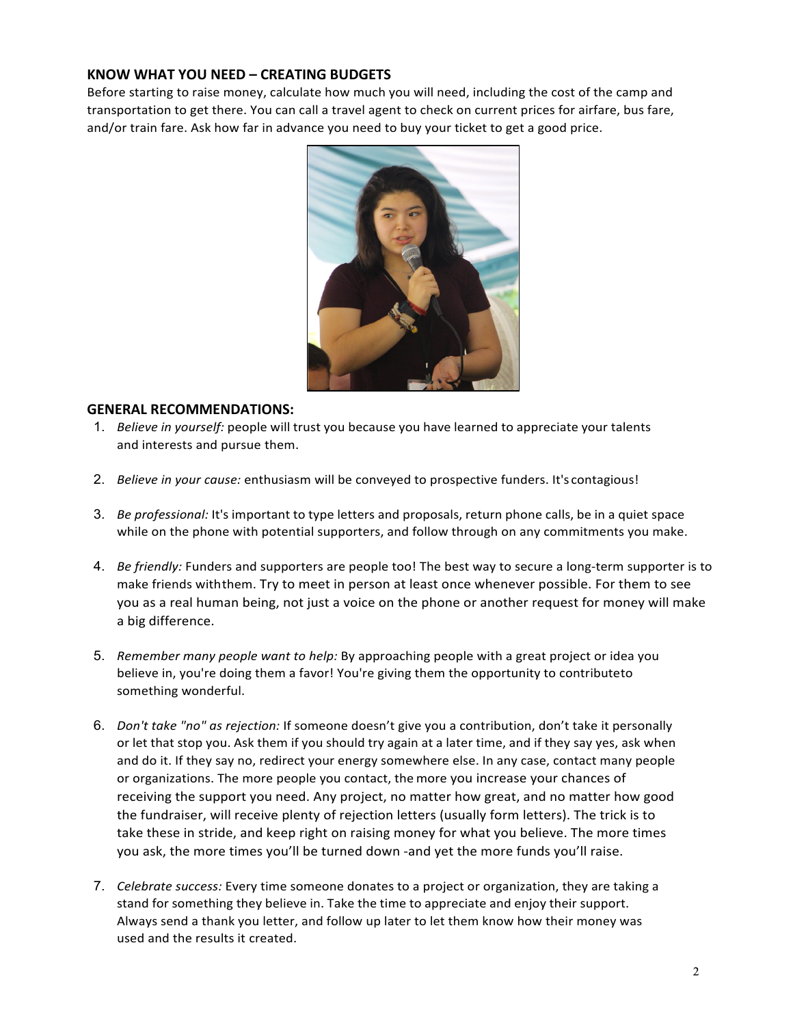#### **KNOW WHAT YOU NEED – CREATING BUDGETS**

Before starting to raise money, calculate how much you will need, including the cost of the camp and transportation to get there. You can call a travel agent to check on current prices for airfare, bus fare, and/or train fare. Ask how far in advance you need to buy your ticket to get a good price.



#### **GENERAL RECOMMENDATIONS:**

- 1. *Believe in yourself:* people will trust you because you have learned to appreciate your talents and interests and pursue them.
- 2. *Believe in your cause:* enthusiasm will be conveyed to prospective funders. It's contagious!
- 3. *Be professional:* It's important to type letters and proposals, return phone calls, be in a quiet space while on the phone with potential supporters, and follow through on any commitments you make.
- 4. *Be friendly:* Funders and supporters are people too! The best way to secure a long-term supporter is to make friends with them. Try to meet in person at least once whenever possible. For them to see you as a real human being, not just a voice on the phone or another request for money will make a big difference.
- 5. Remember many people want to help: By approaching people with a great project or idea you believe in, you're doing them a favor! You're giving them the opportunity to contributeto something wonderful.
- 6. *Don't take "no" as rejection:* If someone doesn't give you a contribution, don't take it personally or let that stop you. Ask them if you should try again at a later time, and if they say yes, ask when and do it. If they say no, redirect your energy somewhere else. In any case, contact many people or organizations. The more people you contact, the more you increase your chances of receiving the support you need. Any project, no matter how great, and no matter how good the fundraiser, will receive plenty of rejection letters (usually form letters). The trick is to take these in stride, and keep right on raising money for what you believe. The more times you ask, the more times you'll be turned down -and yet the more funds you'll raise.
- 7. *Celebrate success:* Every time someone donates to a project or organization, they are taking a stand for something they believe in. Take the time to appreciate and enjoy their support. Always send a thank you letter, and follow up later to let them know how their money was used and the results it created.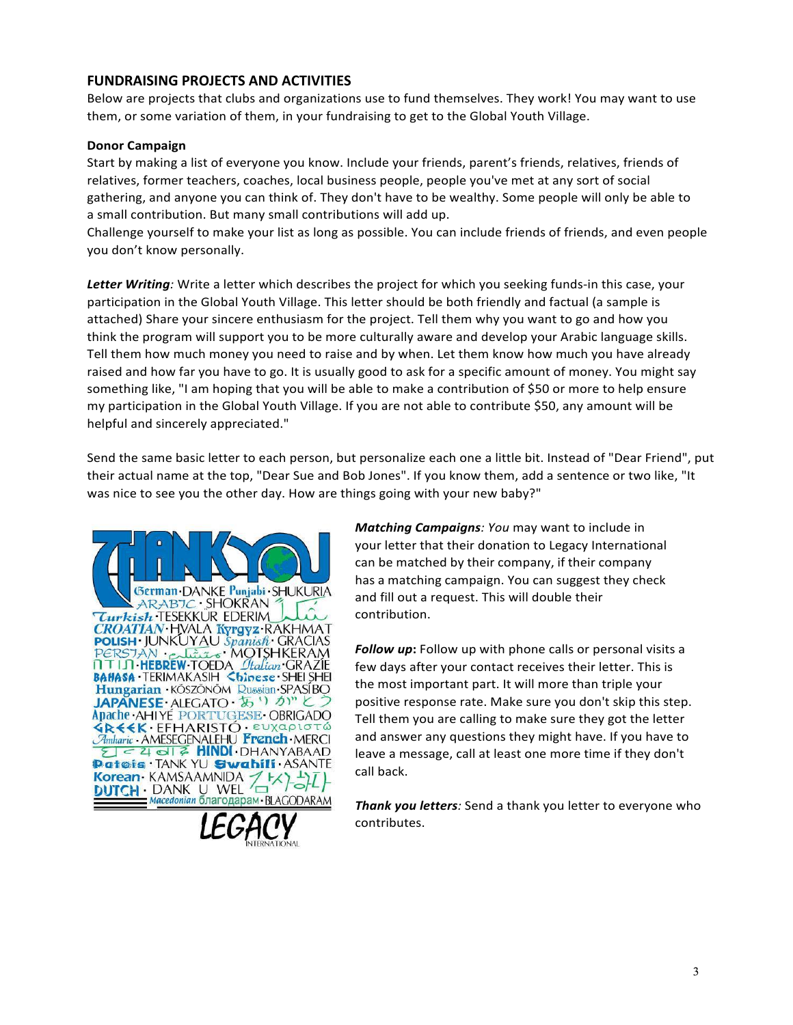#### **FUNDRAISING PROJECTS AND ACTIVITIES**

Below are projects that clubs and organizations use to fund themselves. They work! You may want to use them, or some variation of them, in your fundraising to get to the Global Youth Village.

#### **Donor Campaign**

Start by making a list of everyone you know. Include your friends, parent's friends, relatives, friends of relatives, former teachers, coaches, local business people, people you've met at any sort of social gathering, and anyone you can think of. They don't have to be wealthy. Some people will only be able to a small contribution. But many small contributions will add up.

Challenge yourself to make your list as long as possible. You can include friends of friends, and even people you don't know personally.

Letter Writing: Write a letter which describes the project for which you seeking funds-in this case, your participation in the Global Youth Village. This letter should be both friendly and factual (a sample is attached) Share your sincere enthusiasm for the project. Tell them why you want to go and how you think the program will support you to be more culturally aware and develop your Arabic language skills. Tell them how much money you need to raise and by when. Let them know how much you have already raised and how far you have to go. It is usually good to ask for a specific amount of money. You might say something like, "I am hoping that you will be able to make a contribution of \$50 or more to help ensure my participation in the Global Youth Village. If you are not able to contribute \$50, any amount will be helpful and sincerely appreciated."

Send the same basic letter to each person, but personalize each one a little bit. Instead of "Dear Friend", put their actual name at the top, "Dear Sue and Bob Jones". If you know them, add a sentence or two like, "It was nice to see you the other day. How are things going with your new baby?"





*Matching Campaigns: You may want to include in* your letter that their donation to Legacy International can be matched by their company, if their company has a matching campaign. You can suggest they check and fill out a request. This will double their contribution.

**Follow up:** Follow up with phone calls or personal visits a few days after your contact receives their letter. This is the most important part. It will more than triple your positive response rate. Make sure you don't skip this step. Tell them you are calling to make sure they got the letter and answer any questions they might have. If you have to leave a message, call at least one more time if they don't call back.

**Thank you letters**: Send a thank you letter to everyone who contributes.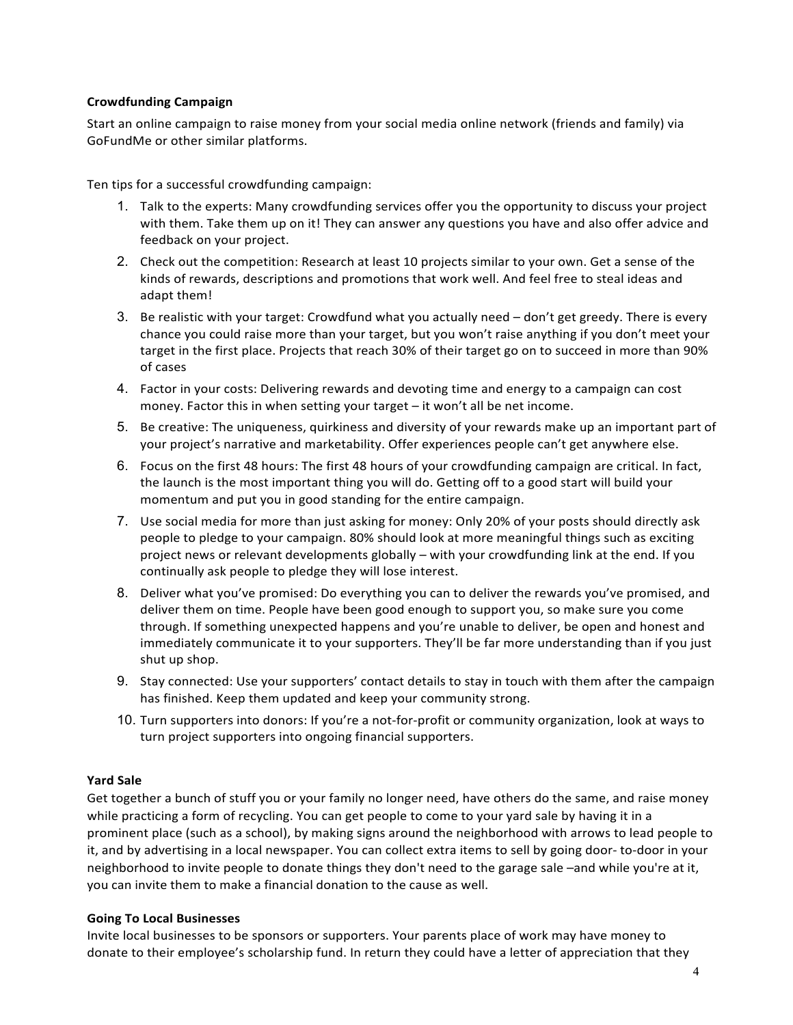#### **Crowdfunding Campaign**

Start an online campaign to raise money from your social media online network (friends and family) via GoFundMe or other similar platforms.

Ten tips for a successful crowdfunding campaign:

- 1. Talk to the experts: Many crowdfunding services offer you the opportunity to discuss your project with them. Take them up on it! They can answer any questions you have and also offer advice and feedback on your project.
- 2. Check out the competition: Research at least 10 projects similar to your own. Get a sense of the kinds of rewards, descriptions and promotions that work well. And feel free to steal ideas and adapt them!
- 3. Be realistic with your target: Crowdfund what you actually need don't get greedy. There is every chance you could raise more than your target, but you won't raise anything if you don't meet your target in the first place. Projects that reach 30% of their target go on to succeed in more than 90% of cases
- 4. Factor in your costs: Delivering rewards and devoting time and energy to a campaign can cost money. Factor this in when setting your target  $-$  it won't all be net income.
- 5. Be creative: The uniqueness, quirkiness and diversity of your rewards make up an important part of your project's narrative and marketability. Offer experiences people can't get anywhere else.
- 6. Focus on the first 48 hours: The first 48 hours of your crowdfunding campaign are critical. In fact, the launch is the most important thing you will do. Getting off to a good start will build your momentum and put you in good standing for the entire campaign.
- 7. Use social media for more than just asking for money: Only 20% of your posts should directly ask people to pledge to your campaign. 80% should look at more meaningful things such as exciting project news or relevant developments globally – with your crowdfunding link at the end. If you continually ask people to pledge they will lose interest.
- 8. Deliver what you've promised: Do everything you can to deliver the rewards you've promised, and deliver them on time. People have been good enough to support you, so make sure you come through. If something unexpected happens and you're unable to deliver, be open and honest and immediately communicate it to your supporters. They'll be far more understanding than if you just shut up shop.
- 9. Stay connected: Use your supporters' contact details to stay in touch with them after the campaign has finished. Keep them updated and keep your community strong.
- 10. Turn supporters into donors: If you're a not-for-profit or community organization, look at ways to turn project supporters into ongoing financial supporters.

#### **Yard Sale**

Get together a bunch of stuff you or your family no longer need, have others do the same, and raise money while practicing a form of recycling. You can get people to come to your yard sale by having it in a prominent place (such as a school), by making signs around the neighborhood with arrows to lead people to it, and by advertising in a local newspaper. You can collect extra items to sell by going door- to-door in your neighborhood to invite people to donate things they don't need to the garage sale –and while you're at it, you can invite them to make a financial donation to the cause as well.

#### **Going To Local Businesses**

Invite local businesses to be sponsors or supporters. Your parents place of work may have money to donate to their employee's scholarship fund. In return they could have a letter of appreciation that they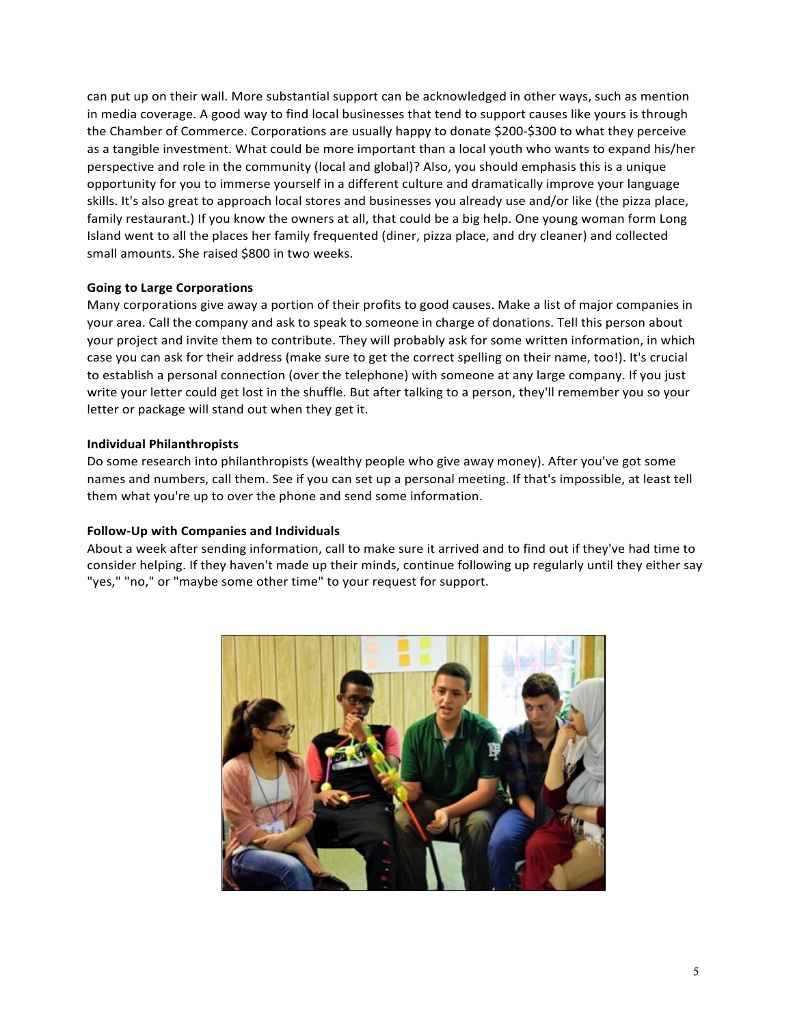can put up on their wall. More substantial support can be acknowledged in other ways, such as mention in media coverage. A good way to find local businesses that tend to support causes like yours is through the Chamber of Commerce. Corporations are usually happy to donate \$200-\$300 to what they perceive as a tangible investment. What could be more important than a local youth who wants to expand his/her perspective and role in the community (local and global)? Also, you should emphasis this is a unique opportunity for you to immerse yourself in a different culture and dramatically improve your language skills. It's also great to approach local stores and businesses you already use and/or like (the pizza place, family restaurant.) If you know the owners at all, that could be a big help. One young woman form Long Island went to all the places her family frequented (diner, pizza place, and dry cleaner) and collected small amounts. She raised \$800 in two weeks.

#### **Going to Large Corporations**

Many corporations give away a portion of their profits to good causes. Make a list of major companies in your area. Call the company and ask to speak to someone in charge of donations. Tell this person about your project and invite them to contribute. They will probably ask for some written information, in which case you can ask for their address (make sure to get the correct spelling on their name, too!). It's crucial to establish a personal connection (over the telephone) with someone at any large company. If you just write your letter could get lost in the shuffle. But after talking to a person, they'll remember you so your letter or package will stand out when they get it.

#### **Individual Philanthropists**

Do some research into philanthropists (wealthy people who give away money). After you've got some names and numbers, call them. See if you can set up a personal meeting. If that's impossible, at least tell them what you're up to over the phone and send some information.

#### **Follow-Up with Companies and Individuals**

About a week after sending information, call to make sure it arrived and to find out if they've had time to consider helping. If they haven't made up their minds, continue following up regularly until they either say "yes," "no," or "maybe some other time" to your request for support.

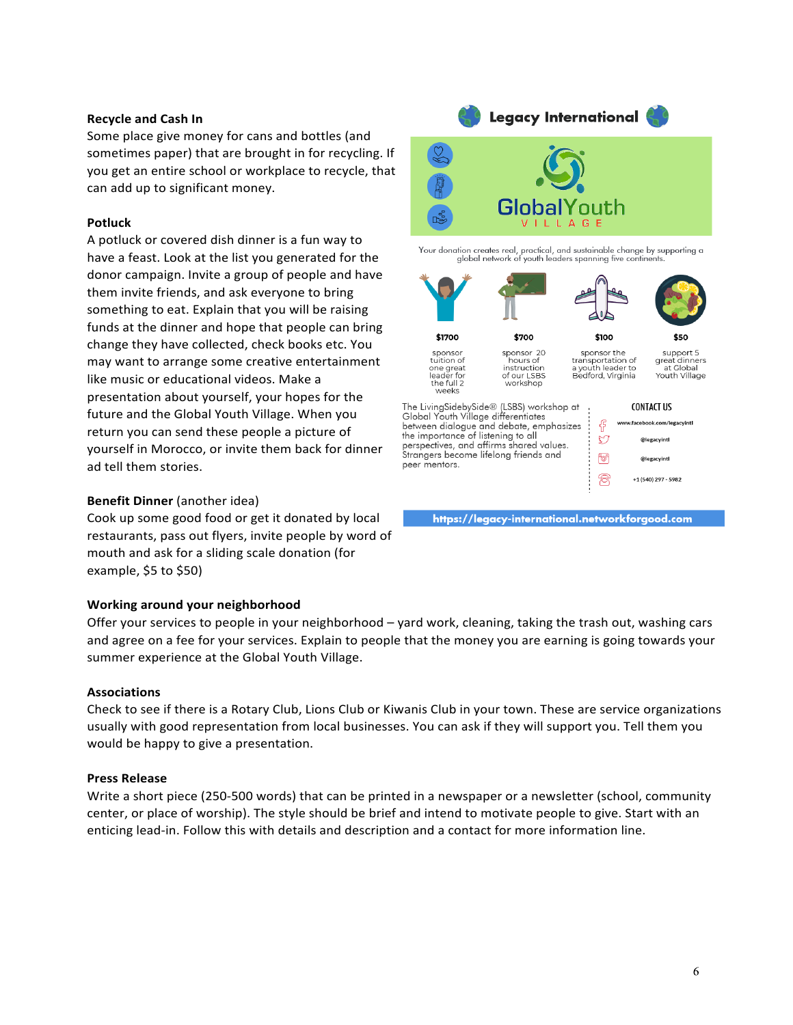#### **Recycle and Cash In**

Some place give money for cans and bottles (and sometimes paper) that are brought in for recycling. If you get an entire school or workplace to recycle, that can add up to significant money.

#### **Potluck**

A potluck or covered dish dinner is a fun way to have a feast. Look at the list you generated for the donor campaign. Invite a group of people and have them invite friends, and ask everyone to bring something to eat. Explain that you will be raising funds at the dinner and hope that people can bring change they have collected, check books etc. You may want to arrange some creative entertainment like music or educational videos. Make a presentation about yourself, your hopes for the future and the Global Youth Village. When you return you can send these people a picture of yourself in Morocco, or invite them back for dinner ad tell them stories.

#### **Benefit Dinner** (another idea)

Cook up some good food or get it donated by local restaurants, pass out flyers, invite people by word of mouth and ask for a sliding scale donation (for example, \$5 to \$50)

#### **Working around your neighborhood**

Offer your services to people in your neighborhood – yard work, cleaning, taking the trash out, washing cars and agree on a fee for your services. Explain to people that the money you are earning is going towards your summer experience at the Global Youth Village.

#### **Associations**

Check to see if there is a Rotary Club, Lions Club or Kiwanis Club in your town. These are service organizations usually with good representation from local businesses. You can ask if they will support you. Tell them you would be happy to give a presentation.

#### **Press Release**

Write a short piece (250-500 words) that can be printed in a newspaper or a newsletter (school, community center, or place of worship). The style should be brief and intend to motivate people to give. Start with an enticing lead-in. Follow this with details and description and a contact for more information line.



Your donation creates real, practical, and sustainable change by supporting a global network of youth leaders spanning five contine



https://legacy-international.networkforgood.com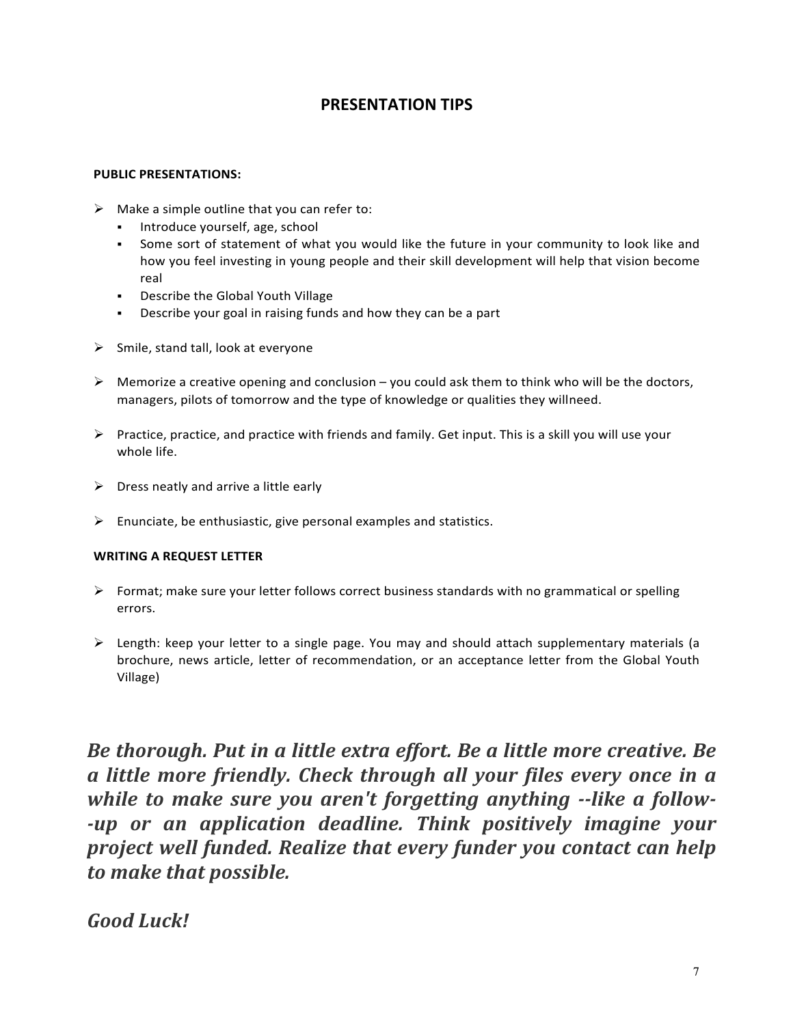### **PRESENTATION TIPS**

#### **PUBLIC PRESENTATIONS:**

- $\triangleright$  Make a simple outline that you can refer to:
	- **•** Introduce yourself, age, school
	- Some sort of statement of what you would like the future in your community to look like and how you feel investing in young people and their skill development will help that vision become real
	- Describe the Global Youth Village
	- **•** Describe your goal in raising funds and how they can be a part
- $\triangleright$  Smile, stand tall, look at everyone
- $\triangleright$  Memorize a creative opening and conclusion you could ask them to think who will be the doctors, managers, pilots of tomorrow and the type of knowledge or qualities they willneed.
- $\triangleright$  Practice, practice, and practice with friends and family. Get input. This is a skill you will use your whole life.
- $\triangleright$  Dress neatly and arrive a little early
- $\triangleright$  Enunciate, be enthusiastic, give personal examples and statistics.

#### **WRITING A REQUEST LETTER**

- $\triangleright$  Format; make sure your letter follows correct business standards with no grammatical or spelling errors.
- $\triangleright$  Length: keep your letter to a single page. You may and should attach supplementary materials (a brochure, news article, letter of recommendation, or an acceptance letter from the Global Youth Village)

*Be thorough. Put in a little extra effort. Be a little more creative. Be a little more friendly. Check through all your files every once in a while to make sure you aren't forgetting anything --like a follow--up* or an application deadline. Think positively imagine your *project* well funded. Realize that every funder you contact can help *to make that possible.*

# *Good Luck!*